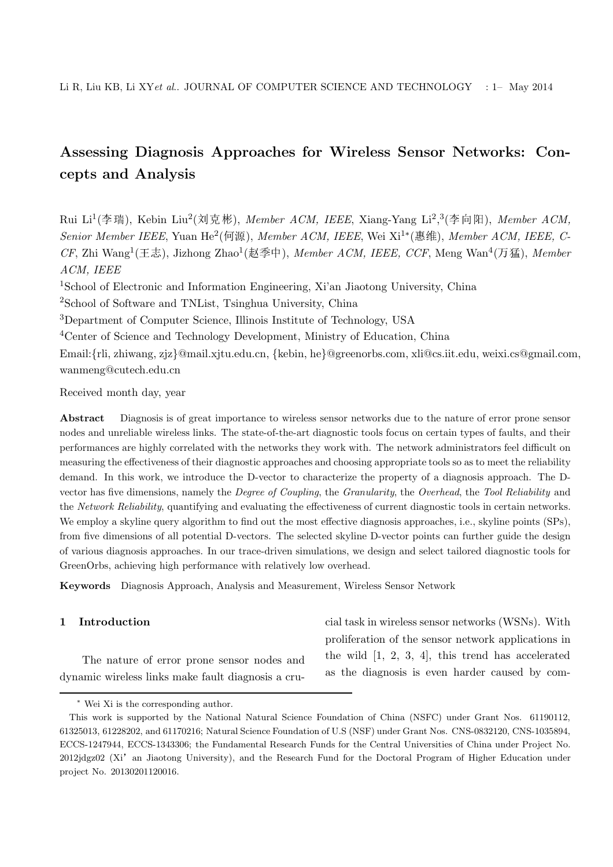# Assessing Diagnosis Approaches for Wireless Sensor Networks: Concepts and Analysis

Rui Li<sup>1</sup>(李瑞), Kebin Liu<sup>2</sup>(刘克彬), Member ACM, IEEE, Xiang-Yang Li<sup>2</sup>,<sup>3</sup>(李向阳), Member ACM, Senior Member IEEE, Yuan He<sup>2</sup>(何源), Member ACM, IEEE, Wei Xi<sup>1∗</sup>(惠维), Member ACM, IEEE, C- $CF$ , Zhi Wang<sup>1</sup>(王志), Jizhong Zhao<sup>1</sup>(赵季中), Member ACM, IEEE, CCF, Meng Wan<sup>4</sup>(万猛), Member ACM, IEEE

<sup>1</sup>School of Electronic and Information Engineering, Xi'an Jiaotong University, China

<sup>2</sup>School of Software and TNList, Tsinghua University, China

<sup>3</sup>Department of Computer Science, Illinois Institute of Technology, USA

<sup>4</sup>Center of Science and Technology Development, Ministry of Education, China

Email:{rli, zhiwang, zjz}@mail.xjtu.edu.cn, {kebin, he}@greenorbs.com, xli@cs.iit.edu, weixi.cs@gmail.com, wanmeng@cutech.edu.cn

Received month day, year

Abstract Diagnosis is of great importance to wireless sensor networks due to the nature of error prone sensor nodes and unreliable wireless links. The state-of-the-art diagnostic tools focus on certain types of faults, and their performances are highly correlated with the networks they work with. The network administrators feel difficult on measuring the effectiveness of their diagnostic approaches and choosing appropriate tools so as to meet the reliability demand. In this work, we introduce the D-vector to characterize the property of a diagnosis approach. The Dvector has five dimensions, namely the Degree of Coupling, the Granularity, the Overhead, the Tool Reliability and the Network Reliability, quantifying and evaluating the effectiveness of current diagnostic tools in certain networks. We employ a skyline query algorithm to find out the most effective diagnosis approaches, i.e., skyline points (SPs), from five dimensions of all potential D-vectors. The selected skyline D-vector points can further guide the design of various diagnosis approaches. In our trace-driven simulations, we design and select tailored diagnostic tools for GreenOrbs, achieving high performance with relatively low overhead.

Keywords Diagnosis Approach, Analysis and Measurement, Wireless Sensor Network

# 1 Introduction

The nature of error prone sensor nodes and dynamic wireless links make fault diagnosis a crucial task in wireless sensor networks (WSNs). With proliferation of the sensor network applications in the wild [1, 2, 3, 4], this trend has accelerated as the diagnosis is even harder caused by com-

<sup>∗</sup> Wei Xi is the corresponding author.

This work is supported by the National Natural Science Foundation of China (NSFC) under Grant Nos. 61190112, 61325013, 61228202, and 61170216; Natural Science Foundation of U.S (NSF) under Grant Nos. CNS-0832120, CNS-1035894, ECCS-1247944, ECCS-1343306; the Fundamental Research Funds for the Central Universities of China under Project No. 2012jdgz02 (Xi' an Jiaotong University), and the Research Fund for the Doctoral Program of Higher Education under project No. 20130201120016.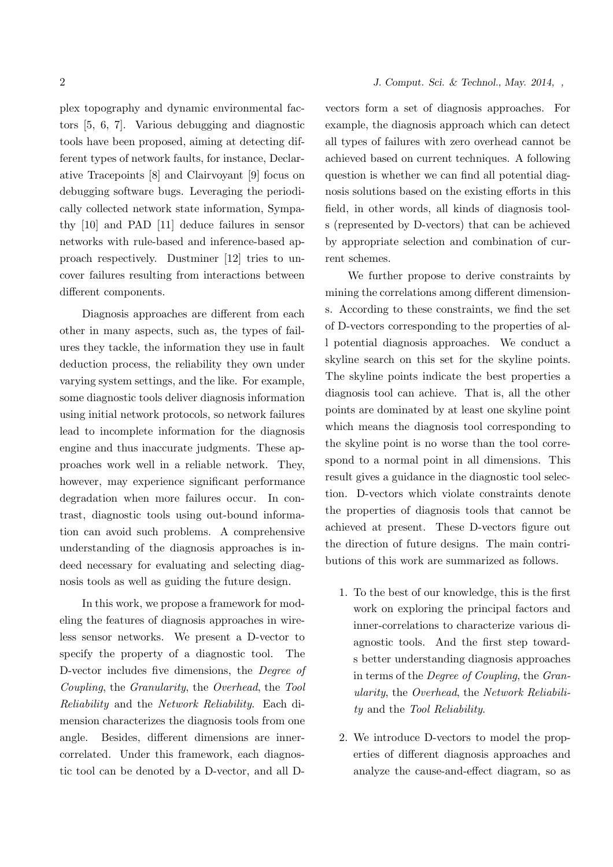plex topography and dynamic environmental factors [5, 6, 7]. Various debugging and diagnostic tools have been proposed, aiming at detecting different types of network faults, for instance, Declarative Tracepoints [8] and Clairvoyant [9] focus on debugging software bugs. Leveraging the periodically collected network state information, Sympathy [10] and PAD [11] deduce failures in sensor networks with rule-based and inference-based approach respectively. Dustminer [12] tries to uncover failures resulting from interactions between different components.

Diagnosis approaches are different from each other in many aspects, such as, the types of failures they tackle, the information they use in fault deduction process, the reliability they own under varying system settings, and the like. For example, some diagnostic tools deliver diagnosis information using initial network protocols, so network failures lead to incomplete information for the diagnosis engine and thus inaccurate judgments. These approaches work well in a reliable network. They, however, may experience significant performance degradation when more failures occur. In contrast, diagnostic tools using out-bound information can avoid such problems. A comprehensive understanding of the diagnosis approaches is indeed necessary for evaluating and selecting diagnosis tools as well as guiding the future design.

In this work, we propose a framework for modeling the features of diagnosis approaches in wireless sensor networks. We present a D-vector to specify the property of a diagnostic tool. The D-vector includes five dimensions, the Degree of Coupling, the Granularity, the Overhead, the Tool Reliability and the Network Reliability. Each dimension characterizes the diagnosis tools from one angle. Besides, different dimensions are innercorrelated. Under this framework, each diagnostic tool can be denoted by a D-vector, and all D-

# 2 *J. Comput. Sci. & Technol., May. 2014, ,*

vectors form a set of diagnosis approaches. For example, the diagnosis approach which can detect all types of failures with zero overhead cannot be achieved based on current techniques. A following question is whether we can find all potential diagnosis solutions based on the existing efforts in this field, in other words, all kinds of diagnosis tools (represented by D-vectors) that can be achieved by appropriate selection and combination of current schemes.

We further propose to derive constraints by mining the correlations among different dimensions. According to these constraints, we find the set of D-vectors corresponding to the properties of all potential diagnosis approaches. We conduct a skyline search on this set for the skyline points. The skyline points indicate the best properties a diagnosis tool can achieve. That is, all the other points are dominated by at least one skyline point which means the diagnosis tool corresponding to the skyline point is no worse than the tool correspond to a normal point in all dimensions. This result gives a guidance in the diagnostic tool selection. D-vectors which violate constraints denote the properties of diagnosis tools that cannot be achieved at present. These D-vectors figure out the direction of future designs. The main contributions of this work are summarized as follows.

- 1. To the best of our knowledge, this is the first work on exploring the principal factors and inner-correlations to characterize various diagnostic tools. And the first step towards better understanding diagnosis approaches in terms of the Degree of Coupling, the Granularity, the Overhead, the Network Reliability and the Tool Reliability.
- 2. We introduce D-vectors to model the properties of different diagnosis approaches and analyze the cause-and-effect diagram, so as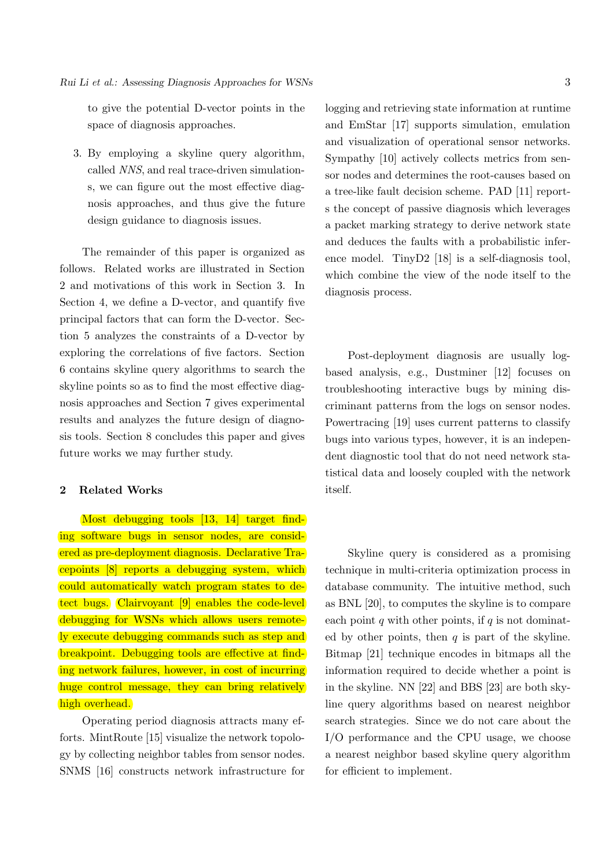to give the potential D-vector points in the space of diagnosis approaches.

3. By employing a skyline query algorithm, called NNS, and real trace-driven simulations, we can figure out the most effective diagnosis approaches, and thus give the future design guidance to diagnosis issues.

The remainder of this paper is organized as follows. Related works are illustrated in Section 2 and motivations of this work in Section 3. In Section 4, we define a D-vector, and quantify five principal factors that can form the D-vector. Section 5 analyzes the constraints of a D-vector by exploring the correlations of five factors. Section 6 contains skyline query algorithms to search the skyline points so as to find the most effective diagnosis approaches and Section 7 gives experimental results and analyzes the future design of diagnosis tools. Section 8 concludes this paper and gives future works we may further study.

# 2 Related Works

Most debugging tools [13, 14] target finding software bugs in sensor nodes, are considered as pre-deployment diagnosis. Declarative Tracepoints [8] reports a debugging system, which could automatically watch program states to detect bugs. Clairvoyant [9] enables the code-level debugging for WSNs which allows users remotely execute debugging commands such as step and breakpoint. Debugging tools are effective at finding network failures, however, in cost of incurring huge control message, they can bring relatively high overhead.

Operating period diagnosis attracts many efforts. MintRoute [15] visualize the network topology by collecting neighbor tables from sensor nodes. SNMS [16] constructs network infrastructure for

logging and retrieving state information at runtime and EmStar [17] supports simulation, emulation and visualization of operational sensor networks. Sympathy [10] actively collects metrics from sensor nodes and determines the root-causes based on a tree-like fault decision scheme. PAD [11] reports the concept of passive diagnosis which leverages a packet marking strategy to derive network state and deduces the faults with a probabilistic inference model. TinyD2 [18] is a self-diagnosis tool, which combine the view of the node itself to the diagnosis process.

Post-deployment diagnosis are usually logbased analysis, e.g., Dustminer [12] focuses on troubleshooting interactive bugs by mining discriminant patterns from the logs on sensor nodes. Powertracing [19] uses current patterns to classify bugs into various types, however, it is an independent diagnostic tool that do not need network statistical data and loosely coupled with the network itself.

Skyline query is considered as a promising technique in multi-criteria optimization process in database community. The intuitive method, such as BNL [20], to computes the skyline is to compare each point q with other points, if q is not dominated by other points, then  $q$  is part of the skyline. Bitmap [21] technique encodes in bitmaps all the information required to decide whether a point is in the skyline. NN [22] and BBS [23] are both skyline query algorithms based on nearest neighbor search strategies. Since we do not care about the I/O performance and the CPU usage, we choose a nearest neighbor based skyline query algorithm for efficient to implement.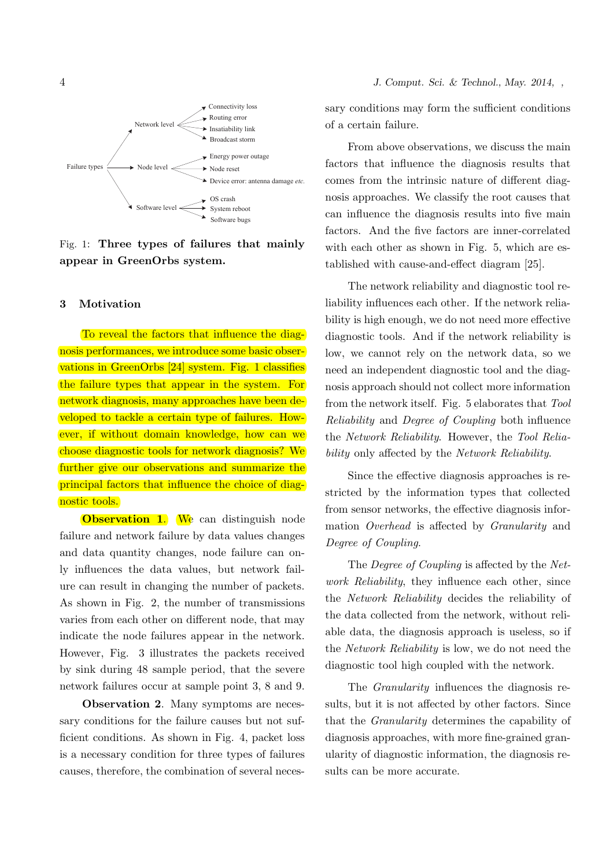

Fig. 1: Three types of failures that mainly appear in GreenOrbs system.

#### 3 Motivation

To reveal the factors that influence the diagnosis performances, we introduce some basic observations in GreenOrbs [24] system. Fig. 1 classifies the failure types that appear in the system. For network diagnosis, many approaches have been developed to tackle a certain type of failures. However, if without domain knowledge, how can we choose diagnostic tools for network diagnosis? We further give our observations and summarize the principal factors that influence the choice of diagnostic tools.

**Observation 1.** We can distinguish node failure and network failure by data values changes and data quantity changes, node failure can only influences the data values, but network failure can result in changing the number of packets. As shown in Fig. 2, the number of transmissions varies from each other on different node, that may indicate the node failures appear in the network. However, Fig. 3 illustrates the packets received by sink during 48 sample period, that the severe network failures occur at sample point 3, 8 and 9.

Observation 2. Many symptoms are necessary conditions for the failure causes but not sufficient conditions. As shown in Fig. 4, packet loss is a necessary condition for three types of failures causes, therefore, the combination of several necessary conditions may form the sufficient conditions of a certain failure.

From above observations, we discuss the main factors that influence the diagnosis results that comes from the intrinsic nature of different diagnosis approaches. We classify the root causes that can influence the diagnosis results into five main factors. And the five factors are inner-correlated with each other as shown in Fig. 5, which are established with cause-and-effect diagram [25].

The network reliability and diagnostic tool reliability influences each other. If the network reliability is high enough, we do not need more effective diagnostic tools. And if the network reliability is low, we cannot rely on the network data, so we need an independent diagnostic tool and the diagnosis approach should not collect more information from the network itself. Fig. 5 elaborates that Tool Reliability and Degree of Coupling both influence the Network Reliability. However, the Tool Reliability only affected by the *Network Reliability*.

Since the effective diagnosis approaches is restricted by the information types that collected from sensor networks, the effective diagnosis information Overhead is affected by Granularity and Degree of Coupling.

The *Degree of Coupling* is affected by the *Net*work Reliability, they influence each other, since the Network Reliability decides the reliability of the data collected from the network, without reliable data, the diagnosis approach is useless, so if the Network Reliability is low, we do not need the diagnostic tool high coupled with the network.

The Granularity influences the diagnosis results, but it is not affected by other factors. Since that the Granularity determines the capability of diagnosis approaches, with more fine-grained granularity of diagnostic information, the diagnosis results can be more accurate.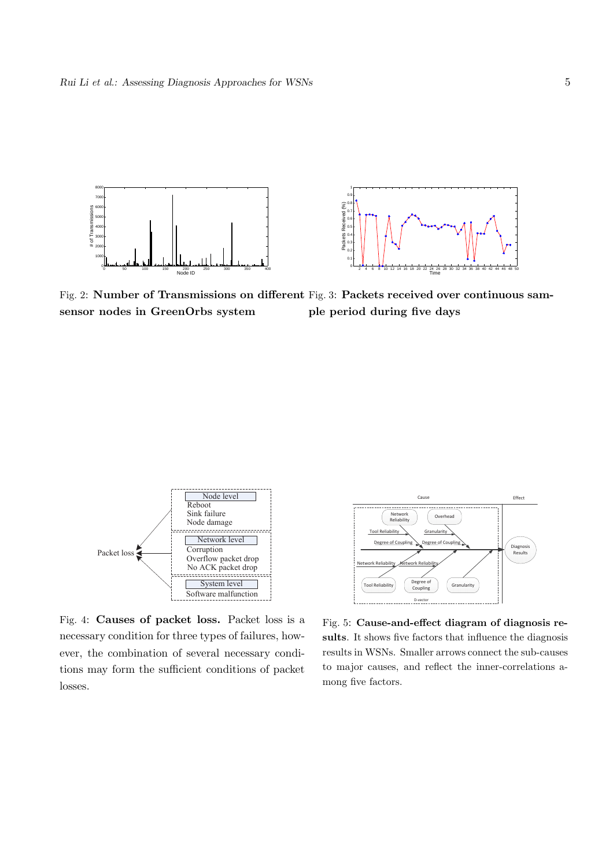



Fig. 2: Number of Transmissions on different Fig. 3: Packets received over continuous samsensor nodes in GreenOrbs system ple period during five days



Fig. 4: Causes of packet loss. Packet loss is a necessary condition for three types of failures, however, the combination of several necessary conditions may form the sufficient conditions of packet losses.



Fig. 5: Cause-and-effect diagram of diagnosis results. It shows five factors that influence the diagnosis results in WSNs. Smaller arrows connect the sub-causes to major causes, and reflect the inner-correlations among five factors.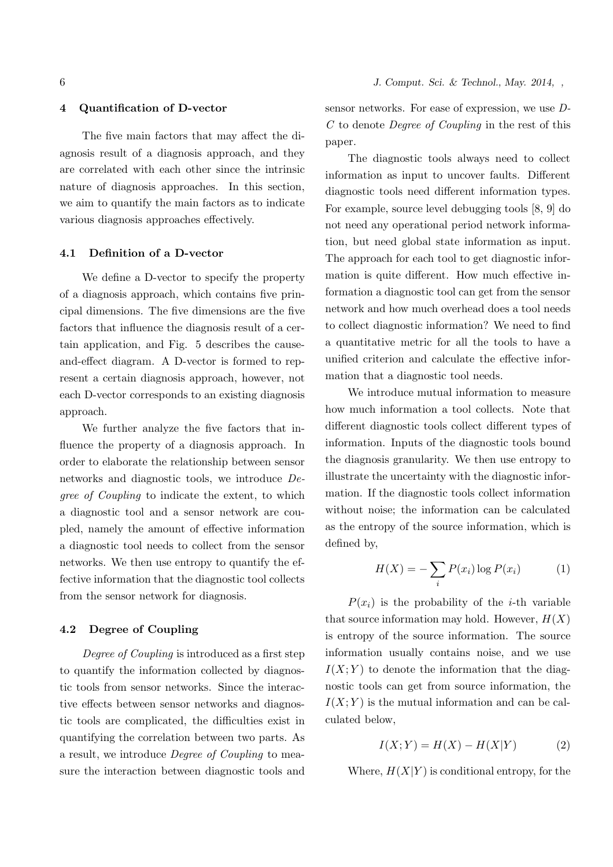## 4 Quantification of D-vector

The five main factors that may affect the diagnosis result of a diagnosis approach, and they are correlated with each other since the intrinsic nature of diagnosis approaches. In this section, we aim to quantify the main factors as to indicate various diagnosis approaches effectively.

#### 4.1 Definition of a D-vector

We define a D-vector to specify the property of a diagnosis approach, which contains five principal dimensions. The five dimensions are the five factors that influence the diagnosis result of a certain application, and Fig. 5 describes the causeand-effect diagram. A D-vector is formed to represent a certain diagnosis approach, however, not each D-vector corresponds to an existing diagnosis approach.

We further analyze the five factors that influence the property of a diagnosis approach. In order to elaborate the relationship between sensor networks and diagnostic tools, we introduce Degree of Coupling to indicate the extent, to which a diagnostic tool and a sensor network are coupled, namely the amount of effective information a diagnostic tool needs to collect from the sensor networks. We then use entropy to quantify the effective information that the diagnostic tool collects from the sensor network for diagnosis.

#### 4.2 Degree of Coupling

Degree of Coupling is introduced as a first step to quantify the information collected by diagnostic tools from sensor networks. Since the interactive effects between sensor networks and diagnostic tools are complicated, the difficulties exist in quantifying the correlation between two parts. As a result, we introduce Degree of Coupling to measure the interaction between diagnostic tools and sensor networks. For ease of expression, we use D-C to denote Degree of Coupling in the rest of this paper.

The diagnostic tools always need to collect information as input to uncover faults. Different diagnostic tools need different information types. For example, source level debugging tools [8, 9] do not need any operational period network information, but need global state information as input. The approach for each tool to get diagnostic information is quite different. How much effective information a diagnostic tool can get from the sensor network and how much overhead does a tool needs to collect diagnostic information? We need to find a quantitative metric for all the tools to have a unified criterion and calculate the effective information that a diagnostic tool needs.

We introduce mutual information to measure how much information a tool collects. Note that different diagnostic tools collect different types of information. Inputs of the diagnostic tools bound the diagnosis granularity. We then use entropy to illustrate the uncertainty with the diagnostic information. If the diagnostic tools collect information without noise; the information can be calculated as the entropy of the source information, which is defined by,

$$
H(X) = -\sum_{i} P(x_i) \log P(x_i) \tag{1}
$$

 $P(x_i)$  is the probability of the *i*-th variable that source information may hold. However,  $H(X)$ is entropy of the source information. The source information usually contains noise, and we use  $I(X; Y)$  to denote the information that the diagnostic tools can get from source information, the  $I(X; Y)$  is the mutual information and can be calculated below,

$$
I(X;Y) = H(X) - H(X|Y)
$$
 (2)

Where,  $H(X|Y)$  is conditional entropy, for the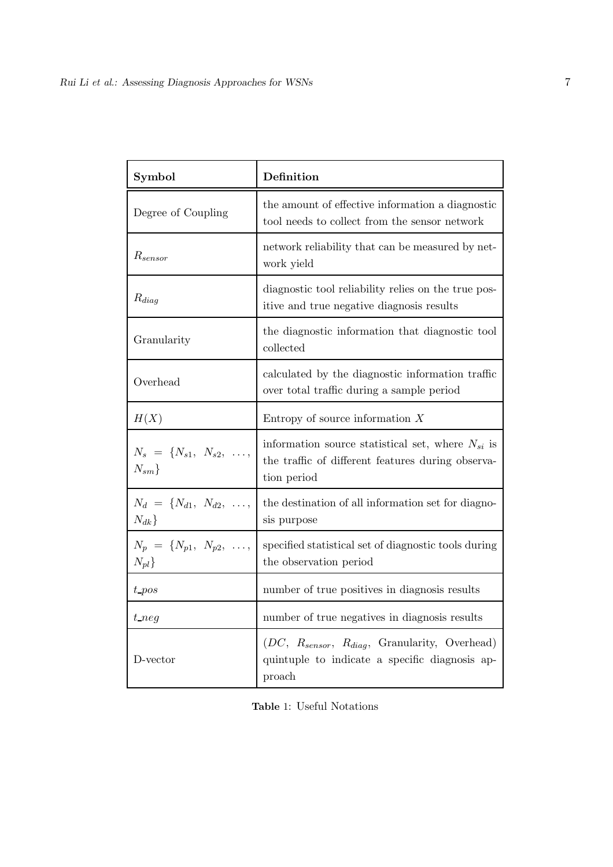| Symbol                                                 | Definition                                                                                                                     |  |
|--------------------------------------------------------|--------------------------------------------------------------------------------------------------------------------------------|--|
| Degree of Coupling                                     | the amount of effective information a diagnostic<br>tool needs to collect from the sensor network                              |  |
| $R_{sensor}$                                           | network reliability that can be measured by net-<br>work yield                                                                 |  |
| $R_{diag}$                                             | diagnostic tool reliability relies on the true pos-<br>itive and true negative diagnosis results                               |  |
| Granularity                                            | the diagnostic information that diagnostic tool<br>collected                                                                   |  |
| Overhead                                               | calculated by the diagnostic information traffic<br>over total traffic during a sample period                                  |  |
| H(X)                                                   | Entropy of source information $X$                                                                                              |  |
| $N_s = \{N_{s1}, N_{s2}, \ldots,$<br>$N_{sm}$          | information source statistical set, where $N_{si}$ is<br>the traffic of different features during observa-<br>tion period      |  |
| $N_d = \{N_{d1}, N_{d2}, \ldots,$<br>$N_{dk}$          | the destination of all information set for diagno-<br>sis purpose                                                              |  |
| $N_p = \{N_{p1}, N_{p2}, \ldots, N_{p4}\}$<br>$N_{pl}$ | specified statistical set of diagnostic tools during<br>the observation period                                                 |  |
| $t$ <sub>-pos</sub>                                    | number of true positives in diagnosis results                                                                                  |  |
| $t$ neg                                                | number of true negatives in diagnosis results                                                                                  |  |
| D-vector                                               | $(DC, R_{sensor}, R_{diag}, \text{ Granularity}, \text{Overhead})$<br>quintuple to indicate a specific diagnosis ap-<br>proach |  |

Table 1: Useful Notations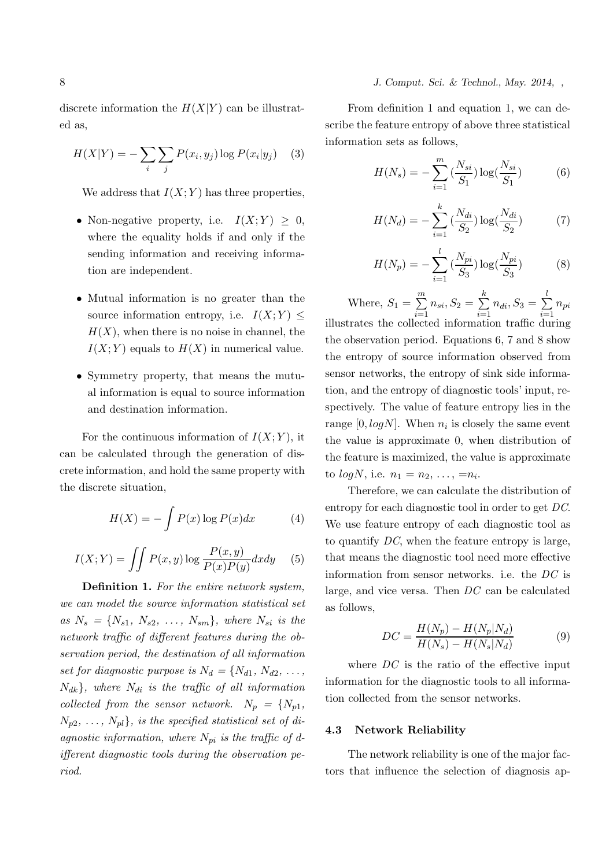## 8 *J. Comput. Sci. & Technol., May. 2014, ,*

discrete information the  $H(X|Y)$  can be illustrated as,

$$
H(X|Y) = -\sum_{i} \sum_{j} P(x_i, y_j) \log P(x_i|y_j) \quad (3)
$$

We address that  $I(X; Y)$  has three properties,

- Non-negative property, i.e.  $I(X;Y) > 0$ , where the equality holds if and only if the sending information and receiving information are independent.
- Mutual information is no greater than the source information entropy, i.e.  $I(X;Y) \leq$  $H(X)$ , when there is no noise in channel, the  $I(X; Y)$  equals to  $H(X)$  in numerical value.
- Symmetry property, that means the mutual information is equal to source information and destination information.

For the continuous information of  $I(X; Y)$ , it can be calculated through the generation of discrete information, and hold the same property with the discrete situation,

$$
H(X) = -\int P(x) \log P(x) dx \tag{4}
$$

$$
I(X;Y) = \iint P(x,y) \log \frac{P(x,y)}{P(x)P(y)} dx dy \quad (5)
$$

Definition 1. For the entire network system, we can model the source information statistical set as  $N_s = \{N_{s1}, N_{s2}, ..., N_{sm}\},$  where  $N_{si}$  is the network traffic of different features during the observation period, the destination of all information set for diagnostic purpose is  $N_d = \{N_{d1}, N_{d2}, \ldots,$  $N_{dk}$ , where  $N_{di}$  is the traffic of all information collected from the sensor network.  $N_p = \{N_{p1},$  $N_{p2}, \ldots, N_{pl}$ , is the specified statistical set of diagnostic information, where  $N_{pi}$  is the traffic of different diagnostic tools during the observation period.

From definition 1 and equation 1, we can describe the feature entropy of above three statistical information sets as follows,

$$
H(N_s) = -\sum_{i=1}^{m} \left(\frac{N_{si}}{S_1}\right) \log\left(\frac{N_{si}}{S_1}\right) \tag{6}
$$

$$
H(N_d) = -\sum_{i=1}^{k} \left(\frac{N_{di}}{S_2}\right) \log\left(\frac{N_{di}}{S_2}\right) \tag{7}
$$

$$
H(N_p) = -\sum_{i=1}^{l} \left(\frac{N_{pi}}{S_3}\right) \log\left(\frac{N_{pi}}{S_3}\right) \tag{8}
$$

Where,  $S_1 = \sum^m$  $\sum_{i=1}$  $n_{si}, S_2 = \sum$ k  $\sum_{i=1}$  $n_{di}, S_3 = \sum$ l  $\sum_{i=1}$  $n_{pi}$ illustrates the collected information traffic during the observation period. Equations 6, 7 and 8 show the entropy of source information observed from sensor networks, the entropy of sink side information, and the entropy of diagnostic tools' input, respectively. The value of feature entropy lies in the range  $[0, log N]$ . When  $n_i$  is closely the same event the value is approximate 0, when distribution of the feature is maximized, the value is approximate to  $log N$ , i.e.  $n_1 = n_2, ..., = n_i$ .

Therefore, we can calculate the distribution of entropy for each diagnostic tool in order to get DC. We use feature entropy of each diagnostic tool as to quantify  $DC$ , when the feature entropy is large, that means the diagnostic tool need more effective information from sensor networks. i.e. the DC is large, and vice versa. Then DC can be calculated as follows,

$$
DC = \frac{H(N_p) - H(N_p|N_d)}{H(N_s) - H(N_s|N_d)}\tag{9}
$$

where  $DC$  is the ratio of the effective input information for the diagnostic tools to all information collected from the sensor networks.

#### 4.3 Network Reliability

The network reliability is one of the major factors that influence the selection of diagnosis ap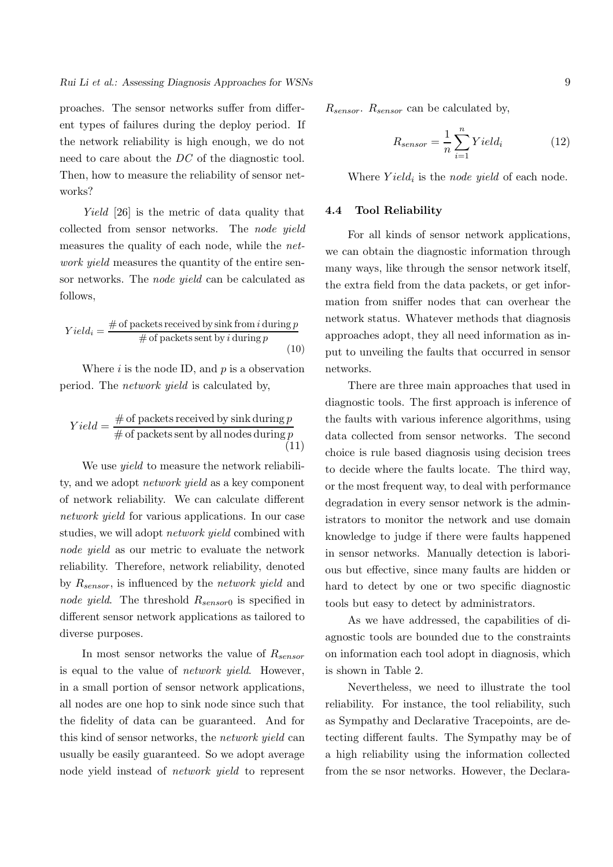proaches. The sensor networks suffer from different types of failures during the deploy period. If the network reliability is high enough, we do not need to care about the DC of the diagnostic tool. Then, how to measure the reliability of sensor networks?

Yield [26] is the metric of data quality that collected from sensor networks. The node yield measures the quality of each node, while the network yield measures the quantity of the entire sensor networks. The node yield can be calculated as follows,

$$
Yield_i = \frac{\# \text{ of packets received by sink from } i \text{ during } p}{\# \text{ of packets sent by } i \text{ during } p}
$$
\n(10)

Where  $i$  is the node ID, and  $p$  is a observation period. The network yield is calculated by,

$$
Yield = \frac{\# \text{ of packets received by sink during } p}{\# \text{ of packets sent by all nodes during } p}
$$
\n(11)

We use *yield* to measure the network reliability, and we adopt network yield as a key component of network reliability. We can calculate different network *yield* for various applications. In our case studies, we will adopt *network yield* combined with node yield as our metric to evaluate the network reliability. Therefore, network reliability, denoted by  $R_{sensor}$ , is influenced by the *network yield* and node yield. The threshold  $R_{sensor0}$  is specified in different sensor network applications as tailored to diverse purposes.

In most sensor networks the value of  $R_{sensor}$ is equal to the value of network yield. However, in a small portion of sensor network applications, all nodes are one hop to sink node since such that the fidelity of data can be guaranteed. And for this kind of sensor networks, the network yield can usually be easily guaranteed. So we adopt average node yield instead of network yield to represent  $R_{sensor}$ .  $R_{sensor}$  can be calculated by,

$$
R_{sensor} = \frac{1}{n} \sum_{i=1}^{n} Yield_i
$$
 (12)

Where  $Yield_i$  is the node yield of each node.

#### 4.4 Tool Reliability

For all kinds of sensor network applications, we can obtain the diagnostic information through many ways, like through the sensor network itself, the extra field from the data packets, or get information from sniffer nodes that can overhear the network status. Whatever methods that diagnosis approaches adopt, they all need information as input to unveiling the faults that occurred in sensor networks.

There are three main approaches that used in diagnostic tools. The first approach is inference of the faults with various inference algorithms, using data collected from sensor networks. The second choice is rule based diagnosis using decision trees to decide where the faults locate. The third way, or the most frequent way, to deal with performance degradation in every sensor network is the administrators to monitor the network and use domain knowledge to judge if there were faults happened in sensor networks. Manually detection is laborious but effective, since many faults are hidden or hard to detect by one or two specific diagnostic tools but easy to detect by administrators.

As we have addressed, the capabilities of diagnostic tools are bounded due to the constraints on information each tool adopt in diagnosis, which is shown in Table 2.

Nevertheless, we need to illustrate the tool reliability. For instance, the tool reliability, such as Sympathy and Declarative Tracepoints, are detecting different faults. The Sympathy may be of a high reliability using the information collected from the se nsor networks. However, the Declara-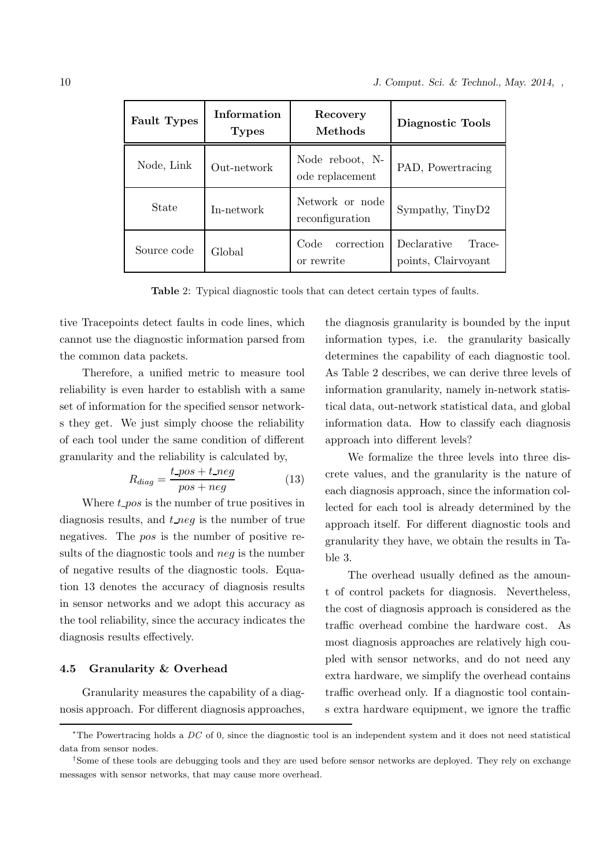| <b>Fault Types</b> | Information<br><b>Types</b> | Recovery<br>Methods                | Diagnostic Tools                             |
|--------------------|-----------------------------|------------------------------------|----------------------------------------------|
| Node, Link         | Out-network                 | Node reboot, N-<br>ode replacement | PAD, Powertracing                            |
| State              | In-network                  | Network or node<br>reconfiguration | Sympathy, TinyD2                             |
| Source code        | Global                      | Code<br>correction<br>or rewrite   | Declarative<br>Trace-<br>points, Clairvoyant |

Table 2: Typical diagnostic tools that can detect certain types of faults.

tive Tracepoints detect faults in code lines, which cannot use the diagnostic information parsed from the common data packets.

Therefore, a unified metric to measure tool reliability is even harder to establish with a same set of information for the specified sensor networks they get. We just simply choose the reliability of each tool under the same condition of different granularity and the reliability is calculated by,

$$
R_{diag} = \frac{t_{pos} + t_{neg}}{pos + neg} \tag{13}
$$

Where  $t_{\text{pos}}$  is the number of true positives in diagnosis results, and  $t$  neg is the number of true negatives. The pos is the number of positive results of the diagnostic tools and neg is the number of negative results of the diagnostic tools. Equation 13 denotes the accuracy of diagnosis results in sensor networks and we adopt this accuracy as the tool reliability, since the accuracy indicates the diagnosis results effectively.

## 4.5 Granularity & Overhead

Granularity measures the capability of a diagnosis approach. For different diagnosis approaches, the diagnosis granularity is bounded by the input information types, i.e. the granularity basically determines the capability of each diagnostic tool. As Table 2 describes, we can derive three levels of information granularity, namely in-network statistical data, out-network statistical data, and global information data. How to classify each diagnosis approach into different levels?

We formalize the three levels into three discrete values, and the granularity is the nature of each diagnosis approach, since the information collected for each tool is already determined by the approach itself. For different diagnostic tools and granularity they have, we obtain the results in Table 3.

The overhead usually defined as the amount of control packets for diagnosis. Nevertheless, the cost of diagnosis approach is considered as the traffic overhead combine the hardware cost. As most diagnosis approaches are relatively high coupled with sensor networks, and do not need any extra hardware, we simplify the overhead contains traffic overhead only. If a diagnostic tool contains extra hardware equipment, we ignore the traffic

<sup>\*</sup>The Powertracing holds a  $DC$  of 0, since the diagnostic tool is an independent system and it does not need statistical data from sensor nodes.

<sup>†</sup> Some of these tools are debugging tools and they are used before sensor networks are deployed. They rely on exchange messages with sensor networks, that may cause more overhead.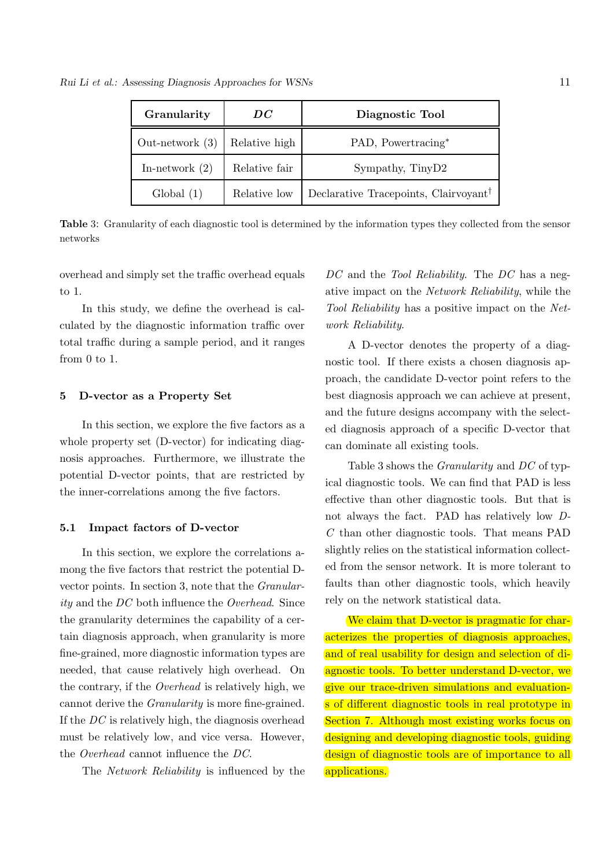*Rui Li et al.: Assessing Diagnosis Approaches for WSNs* 11

| Granularity       | DC            | Diagnostic Tool                                   |
|-------------------|---------------|---------------------------------------------------|
| Out-network $(3)$ | Relative high | PAD, Powertracing*                                |
| In-network $(2)$  | Relative fair | Sympathy, TinyD2                                  |
| Global(1)         | Relative low  | Declarative Tracepoints, Clairvoyant <sup>†</sup> |

Table 3: Granularity of each diagnostic tool is determined by the information types they collected from the sensor networks

overhead and simply set the traffic overhead equals to 1.

In this study, we define the overhead is calculated by the diagnostic information traffic over total traffic during a sample period, and it ranges from 0 to 1.

#### 5 D-vector as a Property Set

In this section, we explore the five factors as a whole property set (D-vector) for indicating diagnosis approaches. Furthermore, we illustrate the potential D-vector points, that are restricted by the inner-correlations among the five factors.

#### 5.1 Impact factors of D-vector

In this section, we explore the correlations among the five factors that restrict the potential Dvector points. In section 3, note that the Granularity and the DC both influence the Overhead. Since the granularity determines the capability of a certain diagnosis approach, when granularity is more fine-grained, more diagnostic information types are needed, that cause relatively high overhead. On the contrary, if the Overhead is relatively high, we cannot derive the Granularity is more fine-grained. If the DC is relatively high, the diagnosis overhead must be relatively low, and vice versa. However, the Overhead cannot influence the DC.

The Network Reliability is influenced by the

DC and the Tool Reliability. The DC has a negative impact on the Network Reliability, while the Tool Reliability has a positive impact on the Network Reliability.

A D-vector denotes the property of a diagnostic tool. If there exists a chosen diagnosis approach, the candidate D-vector point refers to the best diagnosis approach we can achieve at present, and the future designs accompany with the selected diagnosis approach of a specific D-vector that can dominate all existing tools.

Table 3 shows the Granularity and DC of typical diagnostic tools. We can find that PAD is less effective than other diagnostic tools. But that is not always the fact. PAD has relatively low D-C than other diagnostic tools. That means PAD slightly relies on the statistical information collected from the sensor network. It is more tolerant to faults than other diagnostic tools, which heavily rely on the network statistical data.

We claim that D-vector is pragmatic for characterizes the properties of diagnosis approaches, and of real usability for design and selection of diagnostic tools. To better understand D-vector, we give our trace-driven simulations and evaluations of different diagnostic tools in real prototype in Section 7. Although most existing works focus on designing and developing diagnostic tools, guiding design of diagnostic tools are of importance to all applications.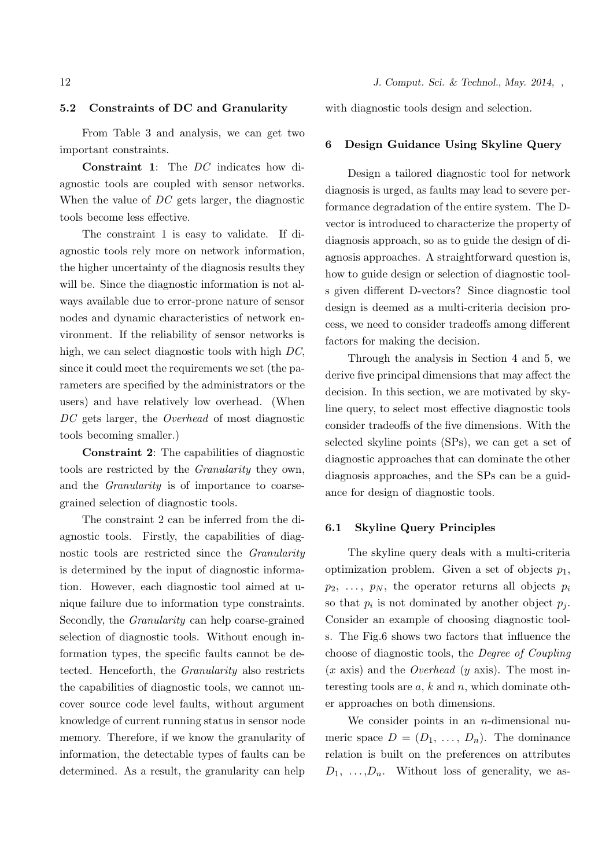#### 5.2 Constraints of DC and Granularity

From Table 3 and analysis, we can get two important constraints.

Constraint 1: The DC indicates how diagnostic tools are coupled with sensor networks. When the value of DC gets larger, the diagnostic tools become less effective.

The constraint 1 is easy to validate. If diagnostic tools rely more on network information, the higher uncertainty of the diagnosis results they will be. Since the diagnostic information is not always available due to error-prone nature of sensor nodes and dynamic characteristics of network environment. If the reliability of sensor networks is high, we can select diagnostic tools with high DC, since it could meet the requirements we set (the parameters are specified by the administrators or the users) and have relatively low overhead. (When DC gets larger, the *Overhead* of most diagnostic tools becoming smaller.)

Constraint 2: The capabilities of diagnostic tools are restricted by the Granularity they own, and the Granularity is of importance to coarsegrained selection of diagnostic tools.

The constraint 2 can be inferred from the diagnostic tools. Firstly, the capabilities of diagnostic tools are restricted since the *Granularity* is determined by the input of diagnostic information. However, each diagnostic tool aimed at unique failure due to information type constraints. Secondly, the Granularity can help coarse-grained selection of diagnostic tools. Without enough information types, the specific faults cannot be detected. Henceforth, the Granularity also restricts the capabilities of diagnostic tools, we cannot uncover source code level faults, without argument knowledge of current running status in sensor node memory. Therefore, if we know the granularity of information, the detectable types of faults can be determined. As a result, the granularity can help

with diagnostic tools design and selection.

#### 6 Design Guidance Using Skyline Query

Design a tailored diagnostic tool for network diagnosis is urged, as faults may lead to severe performance degradation of the entire system. The Dvector is introduced to characterize the property of diagnosis approach, so as to guide the design of diagnosis approaches. A straightforward question is, how to guide design or selection of diagnostic tools given different D-vectors? Since diagnostic tool design is deemed as a multi-criteria decision process, we need to consider tradeoffs among different factors for making the decision.

Through the analysis in Section 4 and 5, we derive five principal dimensions that may affect the decision. In this section, we are motivated by skyline query, to select most effective diagnostic tools consider tradeoffs of the five dimensions. With the selected skyline points (SPs), we can get a set of diagnostic approaches that can dominate the other diagnosis approaches, and the SPs can be a guidance for design of diagnostic tools.

#### 6.1 Skyline Query Principles

The skyline query deals with a multi-criteria optimization problem. Given a set of objects  $p_1$ ,  $p_2, \ldots, p_N$ , the operator returns all objects  $p_i$ so that  $p_i$  is not dominated by another object  $p_j$ . Consider an example of choosing diagnostic tools. The Fig.6 shows two factors that influence the choose of diagnostic tools, the Degree of Coupling  $(x \text{ axis})$  and the *Overhead*  $(y \text{ axis})$ . The most interesting tools are  $a, k$  and  $n$ , which dominate other approaches on both dimensions.

We consider points in an  $n$ -dimensional numeric space  $D = (D_1, \ldots, D_n)$ . The dominance relation is built on the preferences on attributes  $D_1, \ldots, D_n$ . Without loss of generality, we as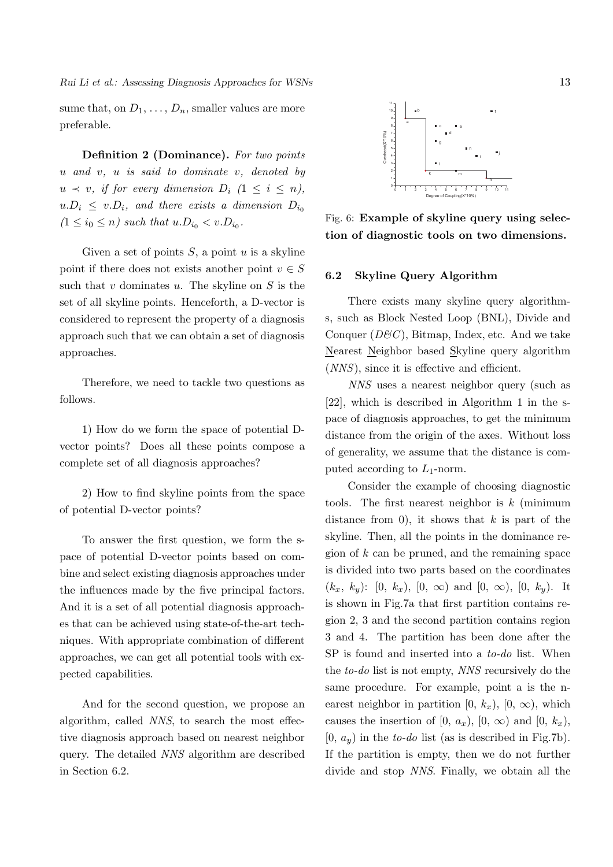*Rui Li et al.: Assessing Diagnosis Approaches for WSNs* 13

sume that, on  $D_1, \ldots, D_n$ , smaller values are more preferable.

Definition 2 (Dominance). For two points  $u$  and  $v$ ,  $u$  is said to dominate  $v$ , denoted by  $u \prec v$ , if for every dimension  $D_i$   $(1 \leq i \leq n)$ ,  $u.D_i \leq v.D_i$ , and there exists a dimension  $D_{i_0}$  $(1 \le i_0 \le n)$  such that  $u.D_{i_0} < v.D_{i_0}$ .

Given a set of points  $S$ , a point  $u$  is a skyline point if there does not exists another point  $v \in S$ such that  $v$  dominates  $u$ . The skyline on  $S$  is the set of all skyline points. Henceforth, a D-vector is considered to represent the property of a diagnosis approach such that we can obtain a set of diagnosis approaches.

Therefore, we need to tackle two questions as follows.

1) How do we form the space of potential Dvector points? Does all these points compose a complete set of all diagnosis approaches?

2) How to find skyline points from the space of potential D-vector points?

To answer the first question, we form the space of potential D-vector points based on combine and select existing diagnosis approaches under the influences made by the five principal factors. And it is a set of all potential diagnosis approaches that can be achieved using state-of-the-art techniques. With appropriate combination of different approaches, we can get all potential tools with expected capabilities.

And for the second question, we propose an algorithm, called NNS, to search the most effective diagnosis approach based on nearest neighbor query. The detailed NNS algorithm are described in Section 6.2.



Fig. 6: Example of skyline query using selection of diagnostic tools on two dimensions.

## 6.2 Skyline Query Algorithm

There exists many skyline query algorithms, such as Block Nested Loop (BNL), Divide and Conquer  $(D\mathcal{B}C)$ , Bitmap, Index, etc. And we take Nearest Neighbor based Skyline query algorithm (NNS), since it is effective and efficient.

NNS uses a nearest neighbor query (such as [22], which is described in Algorithm 1 in the space of diagnosis approaches, to get the minimum distance from the origin of the axes. Without loss of generality, we assume that the distance is computed according to  $L_1$ -norm.

Consider the example of choosing diagnostic tools. The first nearest neighbor is  $k$  (minimum distance from 0), it shows that  $k$  is part of the skyline. Then, all the points in the dominance region of  $k$  can be pruned, and the remaining space is divided into two parts based on the coordinates  $(k_x, k_y)$ : [0,  $k_x$ ), [0,  $\infty$ ) and [0,  $\infty$ ), [0,  $k_y$ ). It is shown in Fig.7a that first partition contains region 2, 3 and the second partition contains region 3 and 4. The partition has been done after the SP is found and inserted into a *to-do* list. When the to-do list is not empty, NNS recursively do the same procedure. For example, point a is the nearest neighbor in partition  $[0, k_x)$ ,  $[0, \infty)$ , which causes the insertion of  $[0, a_x)$ ,  $[0, \infty)$  and  $[0, k_x)$ ,  $[0, a_y)$  in the to-do list (as is described in Fig.7b). If the partition is empty, then we do not further divide and stop NNS. Finally, we obtain all the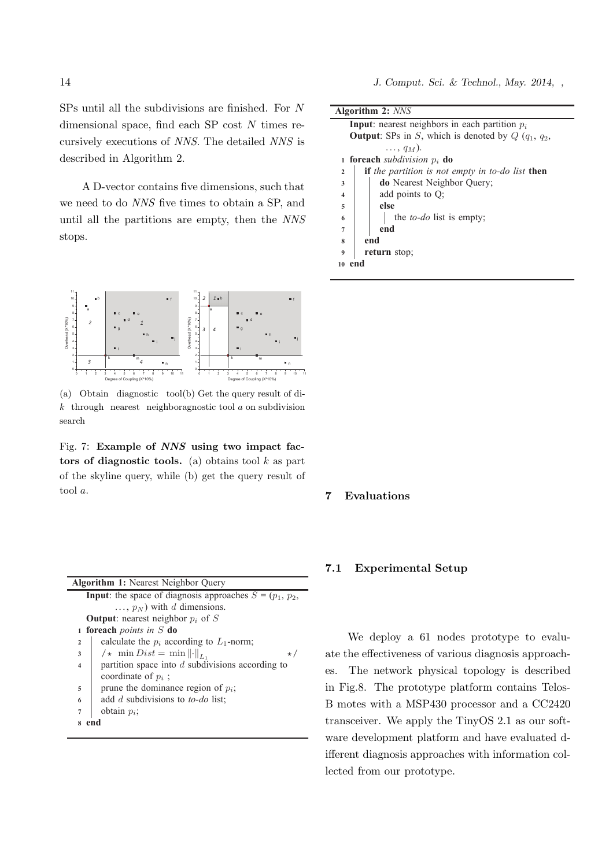14 *J. Comput. Sci. & Technol., May. 2014, ,*

SPs until all the subdivisions are finished. For N dimensional space, find each  $SP \text{ cost } N \text{ times } re$ cursively executions of NNS. The detailed NNS is described in Algorithm 2.

A D-vector contains five dimensions, such that we need to do  $NNS$  five times to obtain a SP, and until all the partitions are empty, then the  $NNS$ stops.



(a) Obtain diagnostic tool (b) Get the query result of di $k$  through nearest neighboragnostic tool  $a$  on subdivision search

Fig. 7: Example of NNS using two impact factors of diagnostic tools. (a) obtains tool  $k$  as part of the skyline query, while (b) get the query result of tool a.

| <b>Algorithm 1:</b> Nearest Neighbor Query                                    |           |  |
|-------------------------------------------------------------------------------|-----------|--|
| <b>Input:</b> the space of diagnosis approaches $S = (p_1, p_2,$              |           |  |
| $, p_N$ ) with d dimensions.                                                  |           |  |
| <b>Output:</b> nearest neighbor $p_i$ of S                                    |           |  |
| foreach <i>points in</i> $S$ do<br>$\mathbf{1}$                               |           |  |
| calculate the $p_i$ according to $L_1$ -norm;<br>$\mathbf{2}$                 |           |  |
| $\mathscr{N}\star \min Dist = \min \left\  \cdot \right\ _{L_1}$<br>3         | $\star$ . |  |
| partition space into $d$ subdivisions according to<br>$\overline{\mathbf{4}}$ |           |  |
| coordinate of $p_i$ ;                                                         |           |  |
| prune the dominance region of $p_i$ ;<br>5                                    |           |  |
| add d subdivisions to <i>to-do</i> list;<br>6                                 |           |  |
| obtain $p_i$ ;<br>$\overline{7}$                                              |           |  |
| end<br>$\bf{R}$                                                               |           |  |
|                                                                               |           |  |

| <b>Algorithm 2: NNS</b> |  |  |  |
|-------------------------|--|--|--|
|-------------------------|--|--|--|

| <b>Input</b> : nearest neighbors in each partition $p_i$ |                                                                |  |  |
|----------------------------------------------------------|----------------------------------------------------------------|--|--|
|                                                          | <b>Output</b> : SPs in S, which is denoted by $Q(q_1, q_2,$    |  |  |
|                                                          | $\ldots, q_M$ ).                                               |  |  |
|                                                          | <b>1 foreach</b> subdivision $p_i$ <b>do</b>                   |  |  |
| $\mathbf{2}$                                             | <b>if</b> the partition is not empty in to-do list <b>then</b> |  |  |
| 3                                                        | <b>do</b> Nearest Neighbor Query;                              |  |  |
| $\overline{\mathbf{4}}$                                  | add points to Q;                                               |  |  |
| 5                                                        | else                                                           |  |  |
| 6                                                        | the <i>to-do</i> list is empty;                                |  |  |
| $\overline{7}$                                           | end                                                            |  |  |
| end<br>8                                                 |                                                                |  |  |
| return stop;<br>9                                        |                                                                |  |  |
| end<br>10                                                |                                                                |  |  |
|                                                          |                                                                |  |  |

## 7 Evaluations

## 7.1 Experimental Setup

ate the effectiveness of various diagnosis annoac ate the effectiveness of various diagnosis approachin Fig.8. The prototype platform contains Telos-B motes with a MSP430 processor and a CC2420 transceiver. We apply the TinyOS 2.1 as our soft $s$  increases we do not have the power meter supply to set up to set up to set up to set up to set up to set up to set up to set up to set up to set up to set up to set up to set up to set up to set up to set up to set up ware development platform and have evaluated different diagnosis approaches with information collected from our prototype. We deploy a 61 nodes prototype to evalues. The network physical topology is described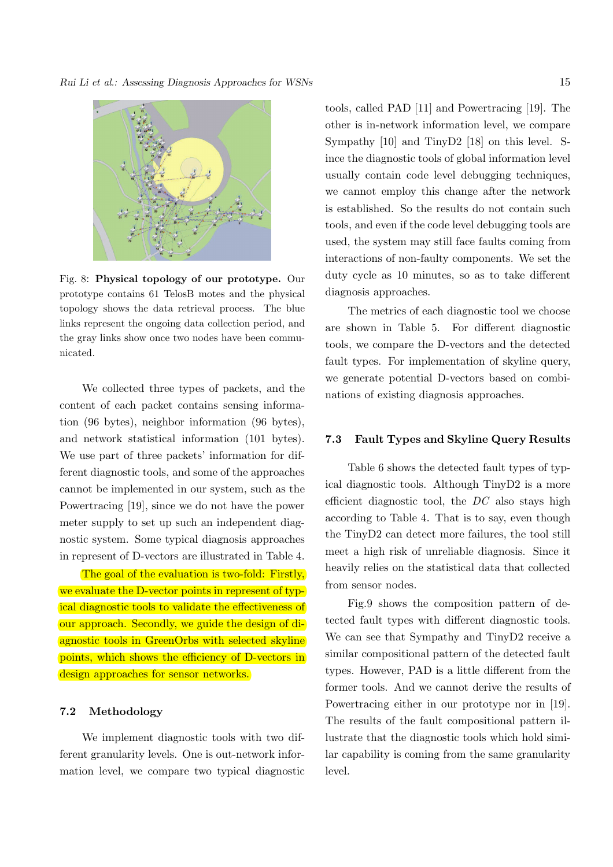

Fig. 8: Physical topology of our prototype. Our prototype contains 61 TelosB motes and the physical topology shows the data retrieval process. The blue links represent the ongoing data collection period, and the gray links show once two nodes have been communicated.

We collected three types of packets, and the content of each packet contains sensing information (96 bytes), neighbor information (96 bytes), and network statistical information (101 bytes). We use part of three packets' information for different diagnostic tools, and some of the approaches cannot be implemented in our system, such as the Powertracing [19], since we do not have the power meter supply to set up such an independent diagnostic system. Some typical diagnosis approaches in represent of D-vectors are illustrated in Table 4.

The goal of the evaluation is two-fold: Firstly, we evaluate the D-vector points in represent of typical diagnostic tools to validate the effectiveness of our approach. Secondly, we guide the design of diagnostic tools in GreenOrbs with selected skyline points, which shows the efficiency of D-vectors in design approaches for sensor networks.

## 7.2 Methodology

We implement diagnostic tools with two different granularity levels. One is out-network information level, we compare two typical diagnostic tools, called PAD [11] and Powertracing [19]. The other is in-network information level, we compare Sympathy [10] and TinyD2 [18] on this level. Since the diagnostic tools of global information level usually contain code level debugging techniques, we cannot employ this change after the network is established. So the results do not contain such tools, and even if the code level debugging tools are used, the system may still face faults coming from interactions of non-faulty components. We set the duty cycle as 10 minutes, so as to take different diagnosis approaches.

The metrics of each diagnostic tool we choose are shown in Table 5. For different diagnostic tools, we compare the D-vectors and the detected fault types. For implementation of skyline query, we generate potential D-vectors based on combinations of existing diagnosis approaches.

## 7.3 Fault Types and Skyline Query Results

Table 6 shows the detected fault types of typical diagnostic tools. Although TinyD2 is a more efficient diagnostic tool, the  $DC$  also stays high according to Table 4. That is to say, even though the TinyD2 can detect more failures, the tool still meet a high risk of unreliable diagnosis. Since it heavily relies on the statistical data that collected from sensor nodes.

Fig.9 shows the composition pattern of detected fault types with different diagnostic tools. We can see that Sympathy and TinyD2 receive a similar compositional pattern of the detected fault types. However, PAD is a little different from the former tools. And we cannot derive the results of Powertracing either in our prototype nor in [19]. The results of the fault compositional pattern illustrate that the diagnostic tools which hold similar capability is coming from the same granularity level.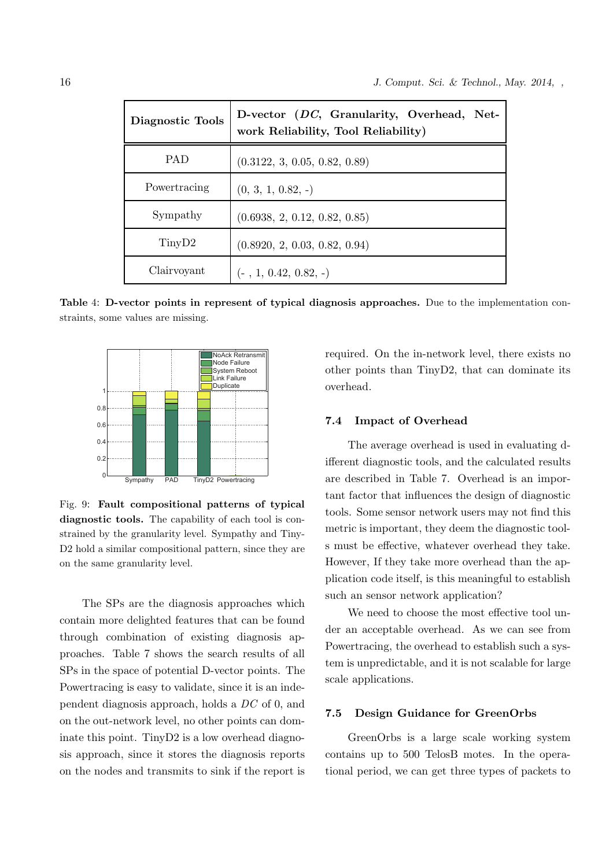| Diagnostic Tools   | D-vector (DC, Granularity, Overhead, Net-<br>work Reliability, Tool Reliability) |
|--------------------|----------------------------------------------------------------------------------|
| <b>PAD</b>         | (0.3122, 3, 0.05, 0.82, 0.89)                                                    |
| Powertracing       | $(0, 3, 1, 0.82, -)$                                                             |
| Sympathy           | (0.6938, 2, 0.12, 0.82, 0.85)                                                    |
| TinyD <sub>2</sub> | (0.8920, 2, 0.03, 0.82, 0.94)                                                    |
| Clairvoyant        | $(-, 1, 0.42, 0.82, -)$                                                          |

Table 4: D-vector points in represent of typical diagnosis approaches. Due to the implementation constraints, some values are missing.



Fig. 9: Fault compositional patterns of typical diagnostic tools. The capability of each tool is constrained by the granularity level. Sympathy and Tiny-D<sub>2</sub> hold a similar compositional pattern, since they are on the same granularity level.

The SPs are the diagnosis approaches which contain more delighted features that can be found through combination of existing diagnosis approaches. Table 7 shows the search results of all SPs in the space of potential D-vector points. The Powertracing is easy to validate, since it is an independent diagnosis approach, holds a DC of 0, and on the out-network level, no other points can dominate this point. TinyD2 is a low overhead diagnosis approach, since it stores the diagnosis reports on the nodes and transmits to sink if the report is required. On the in-network level, there exists no other points than TinyD2, that can dominate its overhead.

## 7.4 Impact of Overhead

The average overhead is used in evaluating different diagnostic tools, and the calculated results are described in Table 7. Overhead is an important factor that influences the design of diagnostic tools. Some sensor network users may not find this metric is important, they deem the diagnostic tools must be effective, whatever overhead they take. However, If they take more overhead than the application code itself, is this meaningful to establish such an sensor network application?

We need to choose the most effective tool under an acceptable overhead. As we can see from Powertracing, the overhead to establish such a system is unpredictable, and it is not scalable for large scale applications.

## 7.5 Design Guidance for GreenOrbs

GreenOrbs is a large scale working system contains up to 500 TelosB motes. In the operational period, we can get three types of packets to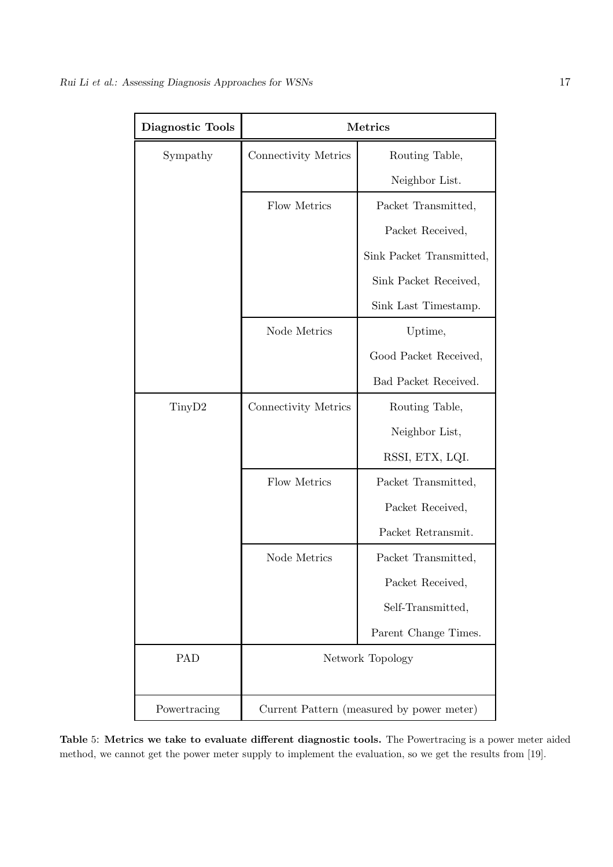| Diagnostic Tools   | <b>Metrics</b>                            |                          |  |
|--------------------|-------------------------------------------|--------------------------|--|
| Sympathy           | Connectivity Metrics                      | Routing Table,           |  |
|                    |                                           | Neighbor List.           |  |
|                    | Flow Metrics                              | Packet Transmitted,      |  |
|                    |                                           | Packet Received,         |  |
|                    |                                           | Sink Packet Transmitted, |  |
|                    |                                           | Sink Packet Received,    |  |
|                    |                                           | Sink Last Timestamp.     |  |
|                    | Node Metrics                              | Uptime,                  |  |
|                    |                                           | Good Packet Received,    |  |
|                    |                                           | Bad Packet Received.     |  |
| Tiny <sub>D2</sub> | Connectivity Metrics                      | Routing Table,           |  |
|                    |                                           | Neighbor List,           |  |
|                    |                                           | RSSI, ETX, LQI.          |  |
|                    | Flow Metrics                              | Packet Transmitted,      |  |
|                    |                                           | Packet Received,         |  |
|                    |                                           | Packet Retransmit.       |  |
|                    | Node Metrics                              | Packet Transmitted,      |  |
|                    |                                           | Packet Received,         |  |
|                    |                                           | Self-Transmitted,        |  |
|                    |                                           | Parent Change Times.     |  |
| PAD                | Network Topology                          |                          |  |
| Powertracing       | Current Pattern (measured by power meter) |                          |  |

Table 5: Metrics we take to evaluate different diagnostic tools. The Powertracing is a power meter aided method, we cannot get the power meter supply to implement the evaluation, so we get the results from [19].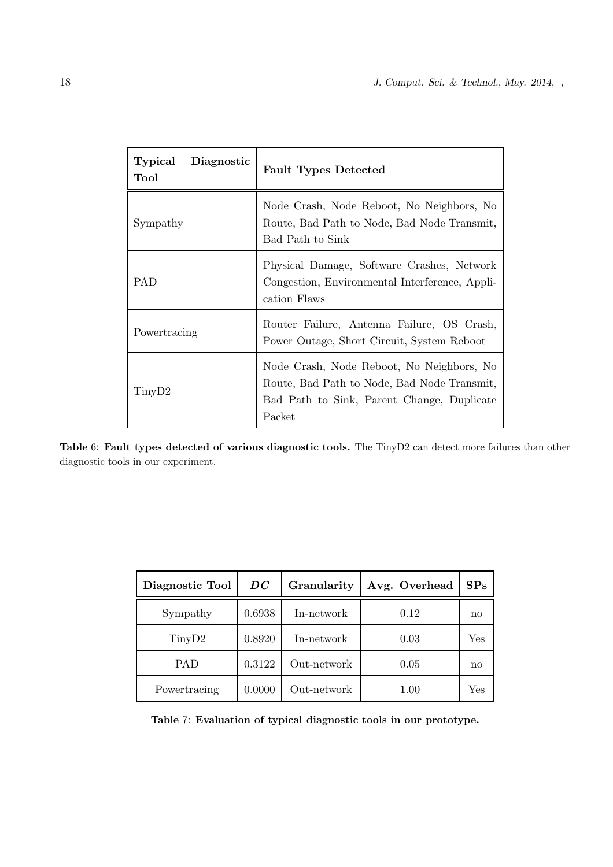| Typical<br>Diagnostic<br>Tool | <b>Fault Types Detected</b>                                                                                                                      |  |
|-------------------------------|--------------------------------------------------------------------------------------------------------------------------------------------------|--|
| Sympathy                      | Node Crash, Node Reboot, No Neighbors, No<br>Route, Bad Path to Node, Bad Node Transmit,<br>Bad Path to Sink                                     |  |
| <b>PAD</b>                    | Physical Damage, Software Crashes, Network<br>Congestion, Environmental Interference, Appli-<br>cation Flaws                                     |  |
| Powertracing                  | Router Failure, Antenna Failure, OS Crash,<br>Power Outage, Short Circuit, System Reboot                                                         |  |
| T <sub>inyD2</sub>            | Node Crash, Node Reboot, No Neighbors, No<br>Route, Bad Path to Node, Bad Node Transmit,<br>Bad Path to Sink, Parent Change, Duplicate<br>Packet |  |

Table 6: Fault types detected of various diagnostic tools. The TinyD2 can detect more failures than other diagnostic tools in our experiment.

| Diagnostic Tool    | DC     | Granularity | Avg. Overhead | SPs |
|--------------------|--------|-------------|---------------|-----|
| Sympathy           | 0.6938 | In-network  | 0.12          | no  |
| Tiny <sub>D2</sub> | 0.8920 | In-network  | 0.03          | Yes |
| <b>PAD</b>         | 0.3122 | Out-network | 0.05          | no  |
| Powertracing       | 0.0000 | Out-network | 1.00          | Yes |

Table 7: Evaluation of typical diagnostic tools in our prototype.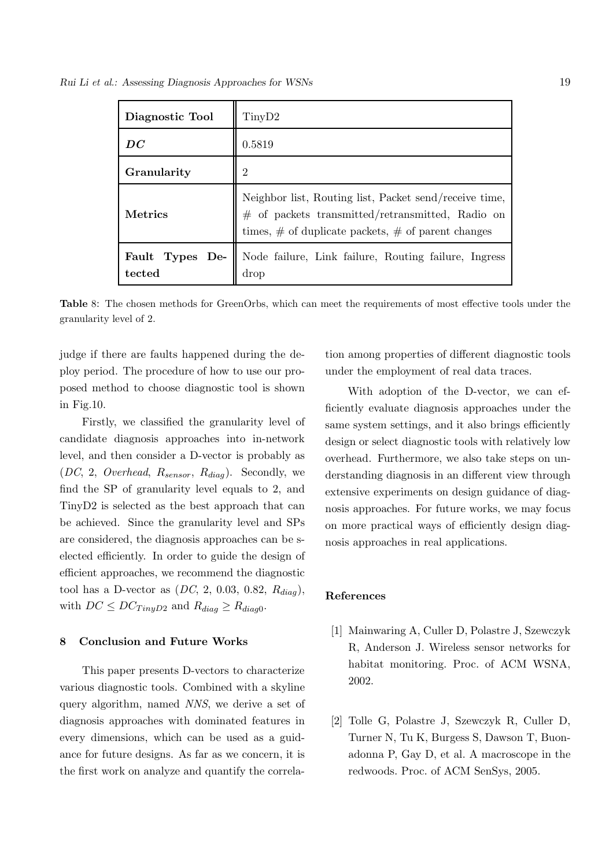*Rui Li et al.: Assessing Diagnosis Approaches for WSNs* 19

| Diagnostic Tool           | TinyD2                                                                                                                                                                                     |
|---------------------------|--------------------------------------------------------------------------------------------------------------------------------------------------------------------------------------------|
| DC                        | 0.5819                                                                                                                                                                                     |
| Granularity               | $\overline{2}$                                                                                                                                                                             |
| <b>Metrics</b>            | Neighbor list, Routing list, Packet send/receive time,<br>$\#~$ of $~$ packets $~$ transmitted/retransmitted, $~$ Radio $~$ on<br>times, $\#$ of duplicate packets, $\#$ of parent changes |
| Fault Types De-<br>tected | Node failure, Link failure, Routing failure, Ingress<br>drop                                                                                                                               |

Table 8: The chosen methods for GreenOrbs, which can meet the requirements of most effective tools under the granularity level of 2.

judge if there are faults happened during the deploy period. The procedure of how to use our proposed method to choose diagnostic tool is shown in Fig.10.

Firstly, we classified the granularity level of candidate diagnosis approaches into in-network level, and then consider a D-vector is probably as  $(DC, 2, Overhead, R_{sensor}, R_{diag})$ . Secondly, we find the SP of granularity level equals to 2, and TinyD2 is selected as the best approach that can be achieved. Since the granularity level and SPs are considered, the diagnosis approaches can be selected efficiently. In order to guide the design of efficient approaches, we recommend the diagnostic tool has a D-vector as  $(DC, 2, 0.03, 0.82, R_{dia}),$ with  $DC \leq DC_{TinvD2}$  and  $R_{diag} \geq R_{diag0}$ .

#### 8 Conclusion and Future Works

This paper presents D-vectors to characterize various diagnostic tools. Combined with a skyline query algorithm, named NNS, we derive a set of diagnosis approaches with dominated features in every dimensions, which can be used as a guidance for future designs. As far as we concern, it is the first work on analyze and quantify the correlation among properties of different diagnostic tools under the employment of real data traces.

With adoption of the D-vector, we can efficiently evaluate diagnosis approaches under the same system settings, and it also brings efficiently design or select diagnostic tools with relatively low overhead. Furthermore, we also take steps on understanding diagnosis in an different view through extensive experiments on design guidance of diagnosis approaches. For future works, we may focus on more practical ways of efficiently design diagnosis approaches in real applications.

## References

- [1] Mainwaring A, Culler D, Polastre J, Szewczyk R, Anderson J. Wireless sensor networks for habitat monitoring. Proc. of ACM WSNA, 2002.
- [2] Tolle G, Polastre J, Szewczyk R, Culler D, Turner N, Tu K, Burgess S, Dawson T, Buonadonna P, Gay D, et al. A macroscope in the redwoods. Proc. of ACM SenSys, 2005.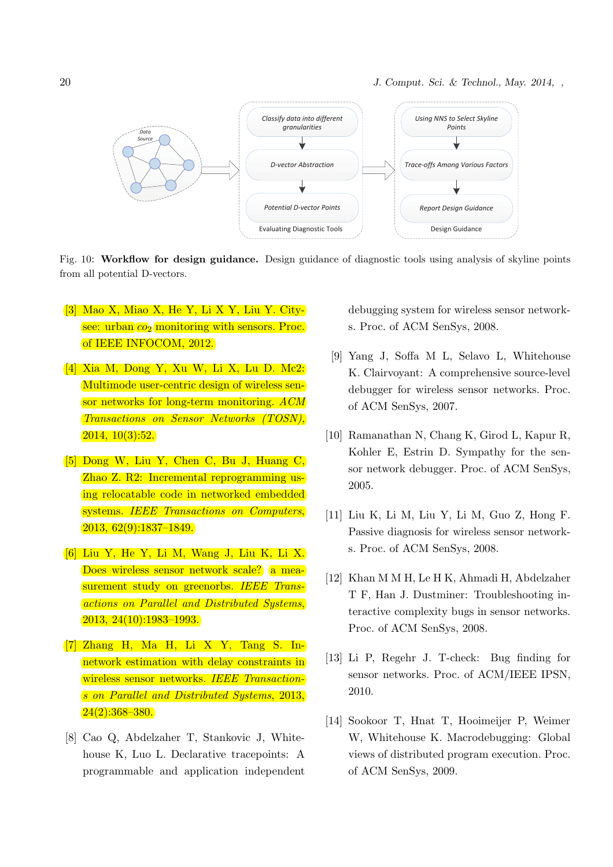20 *J. Comput. Sci. & Technol., May. 2014, ,*



Fig. 10: Workflow for design guidance. Design guidance of diagnostic tools using analysis of skyline points from all potential D-vectors.

- [3] Mao X, Miao X, He Y, Li X Y, Liu Y. Citysee: urban  $co<sub>2</sub>$  monitoring with sensors. Proc. of IEEE INFOCOM, 2012.
- [4] Xia M, Dong Y, Xu W, Li X, Lu D. Mc2: Multimode user-centric design of wireless sensor networks for long-term monitoring. ACM Transactions on Sensor Networks (TOSN), 2014, 10(3):52.
- [5] Dong W, Liu Y, Chen C, Bu J, Huang C, Zhao Z. R2: Incremental reprogramming using relocatable code in networked embedded systems. IEEE Transactions on Computers, 2013, 62(9):1837–1849.
- [6] Liu Y, He Y, Li M, Wang J, Liu K, Li X. Does wireless sensor network scale? a measurement study on greenorbs. IEEE Transactions on Parallel and Distributed Systems, 2013, 24(10):1983–1993.
- [7] Zhang H, Ma H, Li X Y, Tang S. Innetwork estimation with delay constraints in wireless sensor networks. IEEE Transactions on Parallel and Distributed Systems, 2013,  $24(2):368-380.$
- [8] Cao Q, Abdelzaher T, Stankovic J, Whitehouse K, Luo L. Declarative tracepoints: A programmable and application independent

debugging system for wireless sensor networks. Proc. of ACM SenSys, 2008.

- [9] Yang J, Soffa M L, Selavo L, Whitehouse K. Clairvoyant: A comprehensive source-level debugger for wireless sensor networks. Proc. of ACM SenSys, 2007.
- [10] Ramanathan N, Chang K, Girod L, Kapur R, Kohler E, Estrin D. Sympathy for the sensor network debugger. Proc. of ACM SenSys, 2005.
- [11] Liu K, Li M, Liu Y, Li M, Guo Z, Hong F. Passive diagnosis for wireless sensor networks. Proc. of ACM SenSys, 2008.
- [12] Khan M M H, Le H K, Ahmadi H, Abdelzaher T F, Han J. Dustminer: Troubleshooting interactive complexity bugs in sensor networks. Proc. of ACM SenSys, 2008.
- [13] Li P, Regehr J. T-check: Bug finding for sensor networks. Proc. of ACM/IEEE IPSN, 2010.
- [14] Sookoor T, Hnat T, Hooimeijer P, Weimer W, Whitehouse K. Macrodebugging: Global views of distributed program execution. Proc. of ACM SenSys, 2009.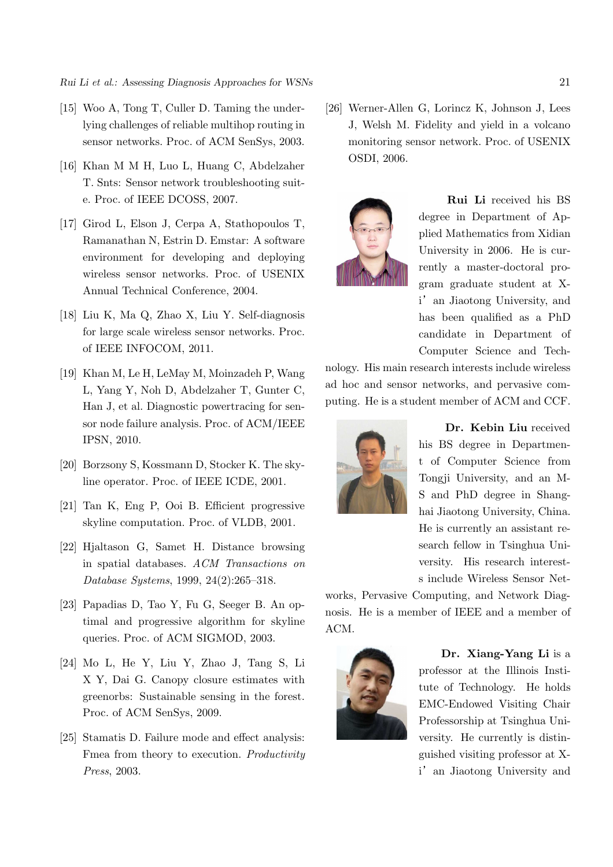- [15] Woo A, Tong T, Culler D. Taming the underlying challenges of reliable multihop routing in sensor networks. Proc. of ACM SenSys, 2003.
- [16] Khan M M H, Luo L, Huang C, Abdelzaher T. Snts: Sensor network troubleshooting suite. Proc. of IEEE DCOSS, 2007.
- [17] Girod L, Elson J, Cerpa A, Stathopoulos T, Ramanathan N, Estrin D. Emstar: A software environment for developing and deploying wireless sensor networks. Proc. of USENIX Annual Technical Conference, 2004.
- [18] Liu K, Ma Q, Zhao X, Liu Y. Self-diagnosis for large scale wireless sensor networks. Proc. of IEEE INFOCOM, 2011.
- [19] Khan M, Le H, LeMay M, Moinzadeh P, Wang L, Yang Y, Noh D, Abdelzaher T, Gunter C, Han J, et al. Diagnostic powertracing for sensor node failure analysis. Proc. of ACM/IEEE IPSN, 2010.
- [20] Borzsony S, Kossmann D, Stocker K. The skyline operator. Proc. of IEEE ICDE, 2001.
- [21] Tan K, Eng P, Ooi B. Efficient progressive skyline computation. Proc. of VLDB, 2001.
- [22] Hjaltason G, Samet H. Distance browsing in spatial databases. ACM Transactions on Database Systems, 1999, 24(2):265–318.
- [23] Papadias D, Tao Y, Fu G, Seeger B. An optimal and progressive algorithm for skyline queries. Proc. of ACM SIGMOD, 2003.
- [24] Mo L, He Y, Liu Y, Zhao J, Tang S, Li X Y, Dai G. Canopy closure estimates with greenorbs: Sustainable sensing in the forest. Proc. of ACM SenSys, 2009.
- [25] Stamatis D. Failure mode and effect analysis: Fmea from theory to execution. Productivity Press, 2003.

[26] Werner-Allen G, Lorincz K, Johnson J, Lees J, Welsh M. Fidelity and yield in a volcano monitoring sensor network. Proc. of USENIX OSDI, 2006.



Rui Li received his BS degree in Department of Applied Mathematics from Xidian University in 2006. He is currently a master-doctoral program graduate student at Xi' an Jiaotong University, and has been qualified as a PhD candidate in Department of Computer Science and Tech-

nology. His main research interests include wireless ad hoc and sensor networks, and pervasive computing. He is a student member of ACM and CCF.



Dr. Kebin Liu received his BS degree in Department of Computer Science from Tongji University, and an M-S and PhD degree in Shanghai Jiaotong University, China. He is currently an assistant research fellow in Tsinghua University. His research interests include Wireless Sensor Net-

works, Pervasive Computing, and Network Diagnosis. He is a member of IEEE and a member of ACM.



Dr. Xiang-Yang Li is a professor at the Illinois Institute of Technology. He holds EMC-Endowed Visiting Chair Professorship at Tsinghua University. He currently is distinguished visiting professor at Xi' an Jiaotong University and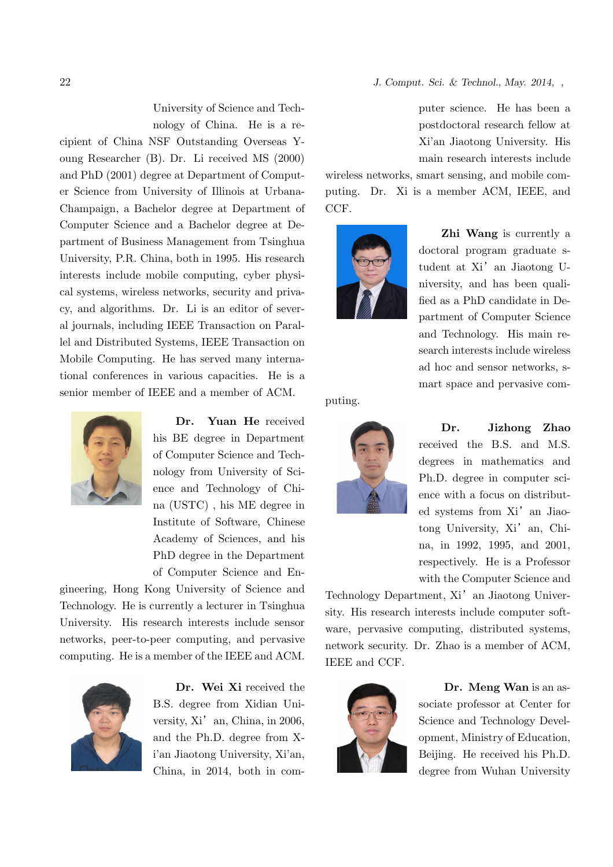University of Science and Tech-

nology of China. He is a recipient of China NSF Outstanding Overseas Young Researcher (B). Dr. Li received MS (2000) and PhD (2001) degree at Department of Computer Science from University of Illinois at Urbana-Champaign, a Bachelor degree at Department of Computer Science and a Bachelor degree at Department of Business Management from Tsinghua University, P.R. China, both in 1995. His research interests include mobile computing, cyber physical systems, wireless networks, security and privacy, and algorithms. Dr. Li is an editor of several journals, including IEEE Transaction on Parallel and Distributed Systems, IEEE Transaction on Mobile Computing. He has served many international conferences in various capacities. He is a senior member of IEEE and a member of ACM.



Dr. Yuan He received his BE degree in Department of Computer Science and Technology from University of Science and Technology of China (USTC) , his ME degree in Institute of Software, Chinese Academy of Sciences, and his PhD degree in the Department of Computer Science and En-

gineering, Hong Kong University of Science and Technology. He is currently a lecturer in Tsinghua University. His research interests include sensor networks, peer-to-peer computing, and pervasive computing. He is a member of the IEEE and ACM.



Dr. Wei Xi received the B.S. degree from Xidian University,  $Xi'$  an, China, in 2006, and the Ph.D. degree from Xi'an Jiaotong University, Xi'an, China, in 2014, both in computer science. He has been a postdoctoral research fellow at Xi'an Jiaotong University. His main research interests include

wireless networks, smart sensing, and mobile computing. Dr. Xi is a member ACM, IEEE, and CCF.



Zhi Wang is currently a doctoral program graduate student at Xi' an Jiaotong University, and has been qualified as a PhD candidate in Department of Computer Science and Technology. His main research interests include wireless ad hoc and sensor networks, smart space and pervasive com-

puting.



Dr. Jizhong Zhao received the B.S. and M.S. degrees in mathematics and Ph.D. degree in computer science with a focus on distributed systems from Xi' an Jiaotong University, Xi' an, China, in 1992, 1995, and 2001, respectively. He is a Professor with the Computer Science and

Technology Department, Xi<sup>'</sup> an Jiaotong University. His research interests include computer software, pervasive computing, distributed systems, network security. Dr. Zhao is a member of ACM, IEEE and CCF.



Dr. Meng Wan is an associate professor at Center for Science and Technology Development, Ministry of Education, Beijing. He received his Ph.D. degree from Wuhan University